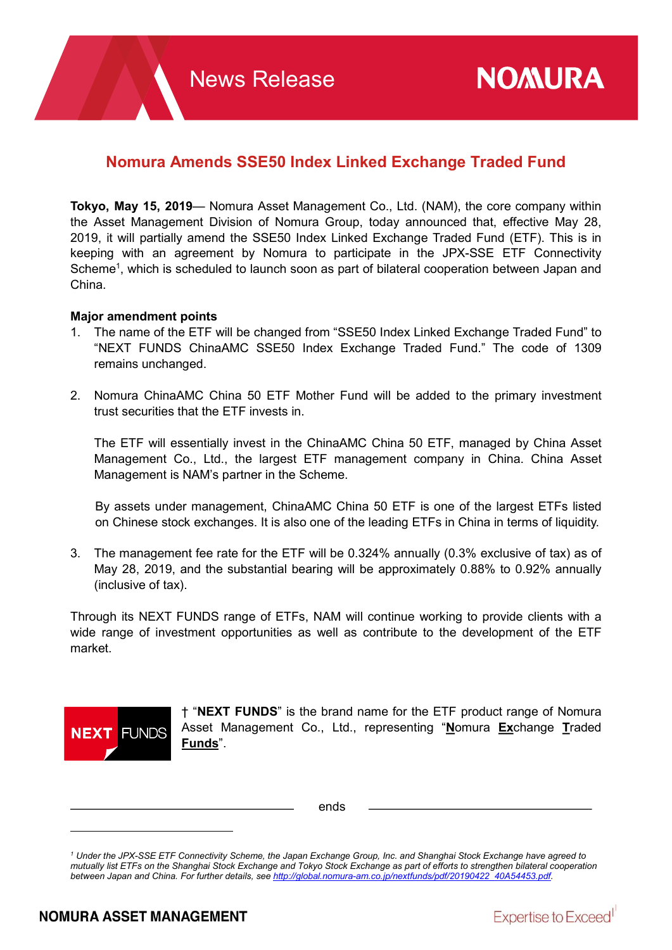# Nomura Amends SSE50 Index Linked Exchange Traded Fund

Tokyo, May 15, 2019— Nomura Asset Management Co., Ltd. (NAM), the core company within the Asset Management Division of Nomura Group, today announced that, effective May 28, 2019, it will partially amend the SSE50 Index Linked Exchange Traded Fund (ETF). This is in keeping with an agreement by Nomura to participate in the JPX-SSE ETF Connectivity Scheme<sup>1</sup>, which is scheduled to launch soon as part of bilateral cooperation between Japan and China.

## Major amendment points

- 1. The name of the ETF will be changed from "SSE50 Index Linked Exchange Traded Fund" to "NEXT FUNDS ChinaAMC SSE50 Index Exchange Traded Fund." The code of 1309 remains unchanged.
- 2. Nomura ChinaAMC China 50 ETF Mother Fund will be added to the primary investment trust securities that the ETF invests in.

The ETF will essentially invest in the ChinaAMC China 50 ETF, managed by China Asset Management Co., Ltd., the largest ETF management company in China. China Asset Management is NAM's partner in the Scheme.

By assets under management, ChinaAMC China 50 ETF is one of the largest ETFs listed on Chinese stock exchanges. It is also one of the leading ETFs in China in terms of liquidity.

3. The management fee rate for the ETF will be 0.324% annually (0.3% exclusive of tax) as of May 28, 2019, and the substantial bearing will be approximately 0.88% to 0.92% annually (inclusive of tax).

Through its NEXT FUNDS range of ETFs, NAM will continue working to provide clients with a wide range of investment opportunities as well as contribute to the development of the ETF market.



† "NEXT FUNDS" is the brand name for the ETF product range of Nomura Asset Management Co., Ltd., representing "Nomura Exchange Traded Funds".

ends

<sup>1</sup> Under the JPX-SSE ETF Connectivity Scheme, the Japan Exchange Group, Inc. and Shanghai Stock Exchange have agreed to mutually list ETFs on the Shanghai Stock Exchange and Tokyo Stock Exchange as part of efforts to strengthen bilateral cooperation between Japan and China. For further details, see http://global.nomura-am.co.jp/nextfunds/pdf/20190422\_40A54453.pdf.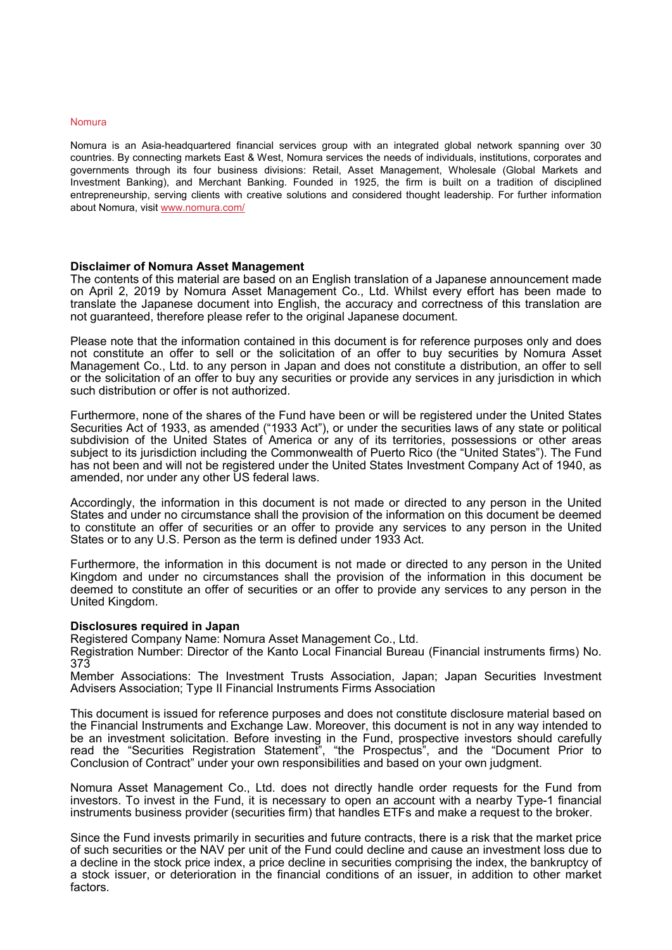#### Nomura

Nomura is an Asia-headquartered financial services group with an integrated global network spanning over 30 countries. By connecting markets East & West, Nomura services the needs of individuals, institutions, corporates and governments through its four business divisions: Retail, Asset Management, Wholesale (Global Markets and Investment Banking), and Merchant Banking. Founded in 1925, the firm is built on a tradition of disciplined entrepreneurship, serving clients with creative solutions and considered thought leadership. For further information about Nomura, visit www.nomura.com/

#### Disclaimer of Nomura Asset Management

The contents of this material are based on an English translation of a Japanese announcement made on April 2, 2019 by Nomura Asset Management Co., Ltd. Whilst every effort has been made to translate the Japanese document into English, the accuracy and correctness of this translation are not guaranteed, therefore please refer to the original Japanese document.

Please note that the information contained in this document is for reference purposes only and does not constitute an offer to sell or the solicitation of an offer to buy securities by Nomura Asset Management Co., Ltd. to any person in Japan and does not constitute a distribution, an offer to sell or the solicitation of an offer to buy any securities or provide any services in any jurisdiction in which such distribution or offer is not authorized.

Furthermore, none of the shares of the Fund have been or will be registered under the United States Securities Act of 1933, as amended ("1933 Act"), or under the securities laws of any state or political subdivision of the United States of America or any of its territories, possessions or other areas subject to its jurisdiction including the Commonwealth of Puerto Rico (the "United States"). The Fund has not been and will not be registered under the United States Investment Company Act of 1940, as amended, nor under any other US federal laws.

Accordingly, the information in this document is not made or directed to any person in the United States and under no circumstance shall the provision of the information on this document be deemed to constitute an offer of securities or an offer to provide any services to any person in the United States or to any U.S. Person as the term is defined under 1933 Act.

Furthermore, the information in this document is not made or directed to any person in the United Kingdom and under no circumstances shall the provision of the information in this document be deemed to constitute an offer of securities or an offer to provide any services to any person in the United Kingdom.

#### Disclosures required in Japan

Registered Company Name: Nomura Asset Management Co., Ltd.

Registration Number: Director of the Kanto Local Financial Bureau (Financial instruments firms) No. 373

Member Associations: The Investment Trusts Association, Japan; Japan Securities Investment Advisers Association; Type II Financial Instruments Firms Association

This document is issued for reference purposes and does not constitute disclosure material based on the Financial Instruments and Exchange Law. Moreover, this document is not in any way intended to be an investment solicitation. Before investing in the Fund, prospective investors should carefully read the "Securities Registration Statement", "the Prospectus", and the "Document Prior to Conclusion of Contract" under your own responsibilities and based on your own judgment.

Nomura Asset Management Co., Ltd. does not directly handle order requests for the Fund from investors. To invest in the Fund, it is necessary to open an account with a nearby Type-1 financial instruments business provider (securities firm) that handles ETFs and make a request to the broker.

Since the Fund invests primarily in securities and future contracts, there is a risk that the market price of such securities or the NAV per unit of the Fund could decline and cause an investment loss due to a decline in the stock price index, a price decline in securities comprising the index, the bankruptcy of a stock issuer, or deterioration in the financial conditions of an issuer, in addition to other market factors.